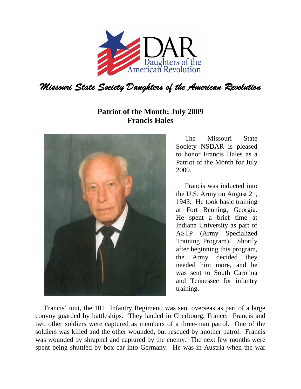

## **Patriot of the Month; July 2009 Francis Hales**



The Missouri State Society NSDAR is pleased to honor Francis Hales as a Patriot of the Month for July 2009.

Francis was inducted into the U.S. Army on August 21, 1943. He took basic training at Fort Benning, Georgia. He spent a brief time at Indiana University as part of ASTP (Army Specialized Training Program). Shortly after beginning this program, the Army decided they needed him more, and he was sent to South Carolina and Tennessee for infantry training.

Francis' unit, the  $101<sup>st</sup>$  Infantry Regiment, was sent overseas as part of a large convoy guarded by battleships. They landed in Cherbourg, France. Francis and two other soldiers were captured as members of a three-man patrol. One of the soldiers was killed and the other wounded, but rescued by another patrol. Francis was wounded by shrapnel and captured by the enemy. The next few months were spent being shuttled by box car into Germany. He was in Austria when the war